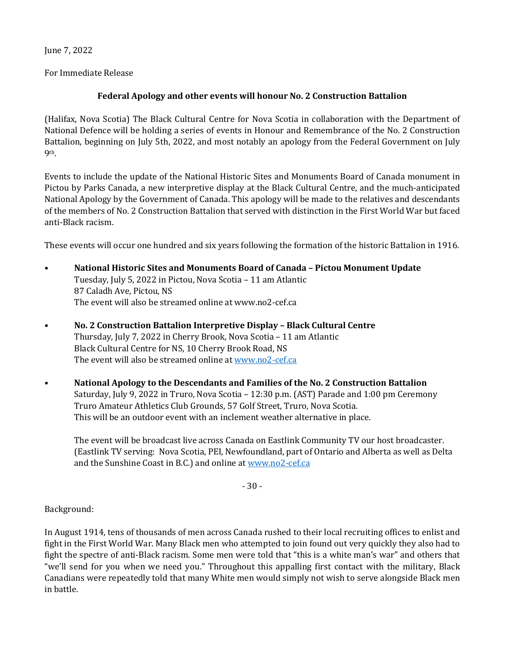June 7, 2022

For Immediate Release

## **Federal Apology and other events will honour No. 2 Construction Battalion**

(Halifax, Nova Scotia) The Black Cultural Centre for Nova Scotia in collaboration with the Department of National Defence will be holding a series of events in Honour and Remembrance of the No. 2 Construction Battalion, beginning on July 5th, 2022, and most notably an apology from the Federal Government on July 9th.

Events to include the update of the National Historic Sites and Monuments Board of Canada monument in Pictou by Parks Canada, a new interpretive display at the Black Cultural Centre, and the much-anticipated National Apology by the Government of Canada. This apology will be made to the relatives and descendants of the members of No. 2 Construction Battalion that served with distinction in the First World War but faced anti-Black racism.

These events will occur one hundred and six years following the formation of the historic Battalion in 1916.

- **National Historic Sites and Monuments Board of Canada – Pictou Monument Update** Tuesday, July 5, 2022 in Pictou, Nova Scotia – 11 am Atlantic 87 Caladh Ave, Pictou, NS The event will also be streamed online at www.no2-cef.ca
- **No. 2 Construction Battalion Interpretive Display – Black Cultural Centre** Thursday, July 7, 2022 in Cherry Brook, Nova Scotia – 11 am Atlantic Black Cultural Centre for NS, 10 Cherry Brook Road, NS The event will also be streamed online a[t www.no2-cef.ca](http://www.no2-cef.ca/)
- **National Apology to the Descendants and Families of the No. 2 Construction Battalion** Saturday, July 9, 2022 in Truro, Nova Scotia – 12:30 p.m. (AST) Parade and 1:00 pm Ceremony Truro Amateur Athletics Club Grounds, 57 Golf Street, Truro, Nova Scotia. This will be an outdoor event with an inclement weather alternative in place.

The event will be broadcast live across Canada on Eastlink Community TV our host broadcaster. (Eastlink TV serving: Nova Scotia, PEI, Newfoundland, part of Ontario and Alberta as well as Delta and the Sunshine Coast in B.C.) and online a[t www.no2-cef.ca](http://www.no2-cef.ca/)

- 30 -

Background:

In August 1914, tens of thousands of men across Canada rushed to their local recruiting offices to enlist and fight in the First World War. Many Black men who attempted to join found out very quickly they also had to fight the spectre of anti-Black racism. Some men were told that "this is a white man's war" and others that "we'll send for you when we need you." Throughout this appalling first contact with the military, Black Canadians were repeatedly told that many White men would simply not wish to serve alongside Black men in battle.